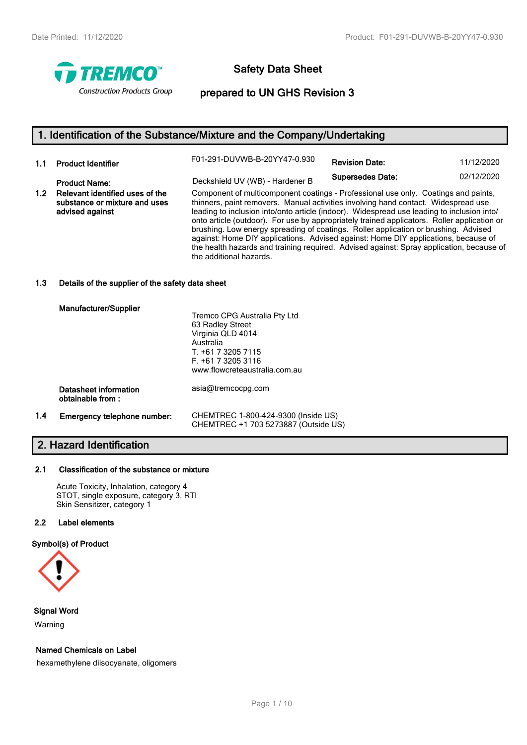

# **Safety Data Sheet**

# **prepared to UN GHS Revision 3**

# **1. Identification of the Substance/Mixture and the Company/Undertaking**

| <b>Product Identifier</b>                                                               | F01-291-DUVWB-B-20YY47-0.930                                                                                                                                                                                                                                                                                                                                                                                                                                                                                                                                                                                                                                              | <b>Revision Date:</b>   | 11/12/2020 |
|-----------------------------------------------------------------------------------------|---------------------------------------------------------------------------------------------------------------------------------------------------------------------------------------------------------------------------------------------------------------------------------------------------------------------------------------------------------------------------------------------------------------------------------------------------------------------------------------------------------------------------------------------------------------------------------------------------------------------------------------------------------------------------|-------------------------|------------|
| <b>Product Name:</b>                                                                    | Deckshield UV (WB) - Hardener B                                                                                                                                                                                                                                                                                                                                                                                                                                                                                                                                                                                                                                           | <b>Supersedes Date:</b> | 02/12/2020 |
| 1.2 Relevant identified uses of the<br>substance or mixture and uses<br>advised against | Component of multicomponent coatings - Professional use only. Coatings and paints,<br>thinners, paint removers. Manual activities involving hand contact. Widespread use<br>leading to inclusion into/onto article (indoor). Widespread use leading to inclusion into/<br>onto article (outdoor). For use by appropriately trained applicators. Roller application or<br>brushing. Low energy spreading of coatings. Roller application or brushing. Advised<br>against: Home DIY applications. Advised against: Home DIY applications, because of<br>the health hazards and training required. Advised against: Spray application, because of<br>the additional hazards. |                         |            |

#### **1.3 Details of the supplier of the safety data sheet**

|     | Manufacturer/Supplier                     | Tremco CPG Australia Pty Ltd<br>63 Radley Street<br>Virginia QLD 4014<br>Australia<br>$T. +61732057115$<br>$F. +61732053116$<br>www.flowcreteaustralia.com.au |
|-----|-------------------------------------------|---------------------------------------------------------------------------------------------------------------------------------------------------------------|
|     | Datasheet information<br>obtainable from: | asia@tremcocpg.com                                                                                                                                            |
| 1.4 | Emergency telephone number:               | CHEMTREC 1-800-424-9300 (Inside US)<br>CHEMTREC +1 703 5273887 (Outside US)                                                                                   |

# **2. Hazard Identification**

## **2.1 Classification of the substance or mixture**

Acute Toxicity, Inhalation, category 4 STOT, single exposure, category 3, RTI Skin Sensitizer, category 1

## **2.2 Label elements**

# **Symbol(s) of Product**



**Signal Word** Warning

### **Named Chemicals on Label**

hexamethylene diisocyanate, oligomers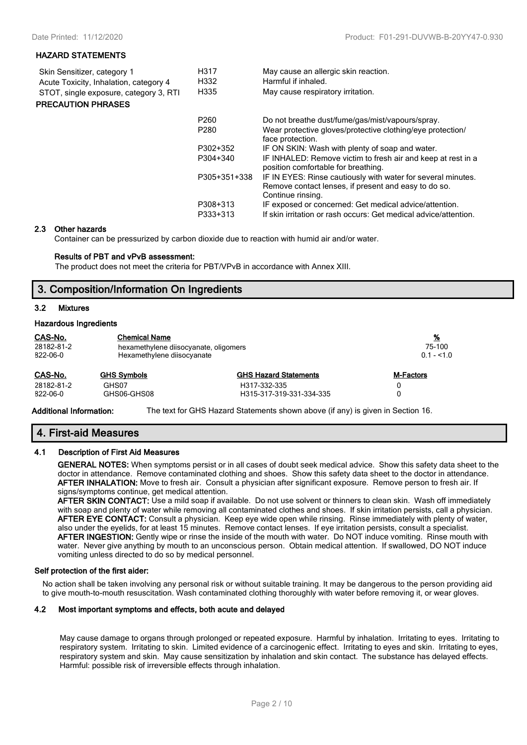#### **HAZARD STATEMENTS**

| Skin Sensitizer, category 1            | H317             | May cause an allergic skin reaction.                                                                                                      |
|----------------------------------------|------------------|-------------------------------------------------------------------------------------------------------------------------------------------|
| Acute Toxicity, Inhalation, category 4 | H332             | Harmful if inhaled.                                                                                                                       |
| STOT, single exposure, category 3, RTI | H335             | May cause respiratory irritation.                                                                                                         |
| <b>PRECAUTION PHRASES</b>              |                  |                                                                                                                                           |
|                                        | P <sub>260</sub> | Do not breathe dust/fume/gas/mist/vapours/spray.                                                                                          |
|                                        | P <sub>280</sub> | Wear protective gloves/protective clothing/eye protection/<br>face protection.                                                            |
|                                        | P302+352         | IF ON SKIN: Wash with plenty of soap and water.                                                                                           |
|                                        | P304+340         | IF INHALED: Remove victim to fresh air and keep at rest in a<br>position comfortable for breathing.                                       |
|                                        | P305+351+338     | IF IN EYES: Rinse cautiously with water for several minutes.<br>Remove contact lenses, if present and easy to do so.<br>Continue rinsing. |
|                                        | P308+313         | IF exposed or concerned: Get medical advice/attention.                                                                                    |
|                                        | P333+313         | If skin irritation or rash occurs: Get medical advice/attention.                                                                          |

#### **2.3 Other hazards**

Container can be pressurized by carbon dioxide due to reaction with humid air and/or water.

#### **Results of PBT and vPvB assessment:**

The product does not meet the criteria for PBT/VPvB in accordance with Annex XIII.

# **3. Composition/Information On Ingredients**

### **3.2 Mixtures**

### **Hazardous Ingredients**

| CAS-No.                | <u>%</u><br><b>Chemical Name</b>                                    |                              |                       |  |  |
|------------------------|---------------------------------------------------------------------|------------------------------|-----------------------|--|--|
| 28182-81-2<br>822-06-0 | hexamethylene diisocyanate, oligomers<br>Hexamethylene diisocyanate |                              | 75-100<br>$0.1 - 1.0$ |  |  |
| CAS-No.                | <b>GHS Symbols</b>                                                  | <b>GHS Hazard Statements</b> | <b>M-Factors</b>      |  |  |
| 28182-81-2             | GHS07                                                               | H317-332-335                 | 0                     |  |  |
| 822-06-0               | GHS06-GHS08                                                         | H315-317-319-331-334-335     | 0                     |  |  |

**Additional Information:** The text for GHS Hazard Statements shown above (if any) is given in Section 16.

# **4. First-aid Measures**

# **4.1 Description of First Aid Measures**

**GENERAL NOTES:** When symptoms persist or in all cases of doubt seek medical advice. Show this safety data sheet to the doctor in attendance. Remove contaminated clothing and shoes. Show this safety data sheet to the doctor in attendance. **AFTER INHALATION:** Move to fresh air. Consult a physician after significant exposure. Remove person to fresh air. If signs/symptoms continue, get medical attention.

**AFTER SKIN CONTACT:** Use a mild soap if available. Do not use solvent or thinners to clean skin. Wash off immediately with soap and plenty of water while removing all contaminated clothes and shoes. If skin irritation persists, call a physician. **AFTER EYE CONTACT:** Consult a physician. Keep eye wide open while rinsing. Rinse immediately with plenty of water, also under the eyelids, for at least 15 minutes. Remove contact lenses. If eye irritation persists, consult a specialist. **AFTER INGESTION:** Gently wipe or rinse the inside of the mouth with water. Do NOT induce vomiting. Rinse mouth with water. Never give anything by mouth to an unconscious person. Obtain medical attention. If swallowed, DO NOT induce vomiting unless directed to do so by medical personnel.

#### **Self protection of the first aider:**

No action shall be taken involving any personal risk or without suitable training. It may be dangerous to the person providing aid to give mouth-to-mouth resuscitation. Wash contaminated clothing thoroughly with water before removing it, or wear gloves.

#### **4.2 Most important symptoms and effects, both acute and delayed**

May cause damage to organs through prolonged or repeated exposure. Harmful by inhalation. Irritating to eyes. Irritating to respiratory system. Irritating to skin. Limited evidence of a carcinogenic effect. Irritating to eyes and skin. Irritating to eyes, respiratory system and skin. May cause sensitization by inhalation and skin contact. The substance has delayed effects. Harmful: possible risk of irreversible effects through inhalation.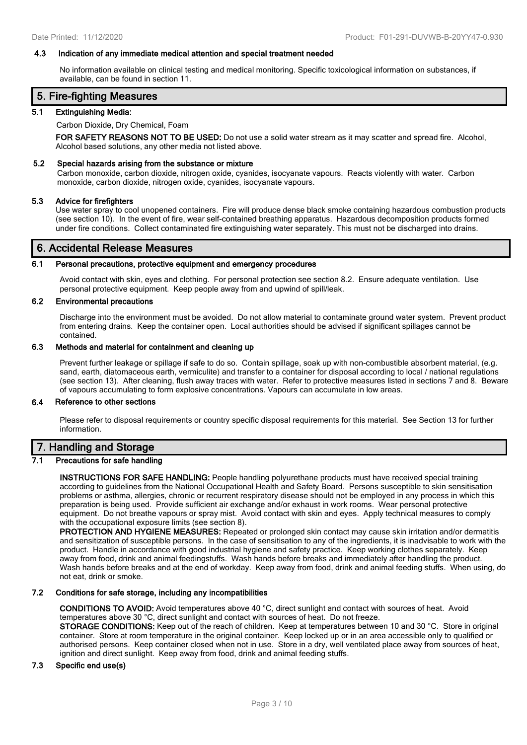#### **4.3 Indication of any immediate medical attention and special treatment needed**

No information available on clinical testing and medical monitoring. Specific toxicological information on substances, if available, can be found in section 11.

# **5. Fire-fighting Measures**

# **5.1 Extinguishing Media:**

#### Carbon Dioxide, Dry Chemical, Foam

**FOR SAFETY REASONS NOT TO BE USED:** Do not use a solid water stream as it may scatter and spread fire. Alcohol, Alcohol based solutions, any other media not listed above.

#### **5.2 Special hazards arising from the substance or mixture**

Carbon monoxide, carbon dioxide, nitrogen oxide, cyanides, isocyanate vapours. Reacts violently with water. Carbon monoxide, carbon dioxide, nitrogen oxide, cyanides, isocyanate vapours.

#### **5.3 Advice for firefighters**

Use water spray to cool unopened containers. Fire will produce dense black smoke containing hazardous combustion products (see section 10). In the event of fire, wear self-contained breathing apparatus. Hazardous decomposition products formed under fire conditions. Collect contaminated fire extinguishing water separately. This must not be discharged into drains.

# **6. Accidental Release Measures**

#### **6.1 Personal precautions, protective equipment and emergency procedures**

Avoid contact with skin, eyes and clothing. For personal protection see section 8.2. Ensure adequate ventilation. Use personal protective equipment. Keep people away from and upwind of spill/leak.

## **6.2 Environmental precautions**

Discharge into the environment must be avoided. Do not allow material to contaminate ground water system. Prevent product from entering drains. Keep the container open. Local authorities should be advised if significant spillages cannot be contained.

### **6.3 Methods and material for containment and cleaning up**

Prevent further leakage or spillage if safe to do so. Contain spillage, soak up with non-combustible absorbent material, (e.g. sand, earth, diatomaceous earth, vermiculite) and transfer to a container for disposal according to local / national regulations (see section 13). After cleaning, flush away traces with water. Refer to protective measures listed in sections 7 and 8. Beware of vapours accumulating to form explosive concentrations. Vapours can accumulate in low areas.

## **6.4 Reference to other sections**

Please refer to disposal requirements or country specific disposal requirements for this material. See Section 13 for further information.

# **7. Handling and Storage**

### **7.1 Precautions for safe handling**

**INSTRUCTIONS FOR SAFE HANDLING:** People handling polyurethane products must have received special training according to guidelines from the National Occupational Health and Safety Board. Persons susceptible to skin sensitisation problems or asthma, allergies, chronic or recurrent respiratory disease should not be employed in any process in which this preparation is being used. Provide sufficient air exchange and/or exhaust in work rooms. Wear personal protective equipment. Do not breathe vapours or spray mist. Avoid contact with skin and eyes. Apply technical measures to comply with the occupational exposure limits (see section 8).

**PROTECTION AND HYGIENE MEASURES:** Repeated or prolonged skin contact may cause skin irritation and/or dermatitis and sensitization of susceptible persons. In the case of sensitisation to any of the ingredients, it is inadvisable to work with the product. Handle in accordance with good industrial hygiene and safety practice. Keep working clothes separately. Keep away from food, drink and animal feedingstuffs. Wash hands before breaks and immediately after handling the product. Wash hands before breaks and at the end of workday. Keep away from food, drink and animal feeding stuffs. When using, do not eat, drink or smoke.

#### **7.2 Conditions for safe storage, including any incompatibilities**

**CONDITIONS TO AVOID:** Avoid temperatures above 40 °C, direct sunlight and contact with sources of heat. Avoid temperatures above 30 °C, direct sunlight and contact with sources of heat. Do not freeze.

**STORAGE CONDITIONS:** Keep out of the reach of children. Keep at temperatures between 10 and 30 °C. Store in original container. Store at room temperature in the original container. Keep locked up or in an area accessible only to qualified or authorised persons. Keep container closed when not in use. Store in a dry, well ventilated place away from sources of heat, ignition and direct sunlight. Keep away from food, drink and animal feeding stuffs.

## **7.3 Specific end use(s)**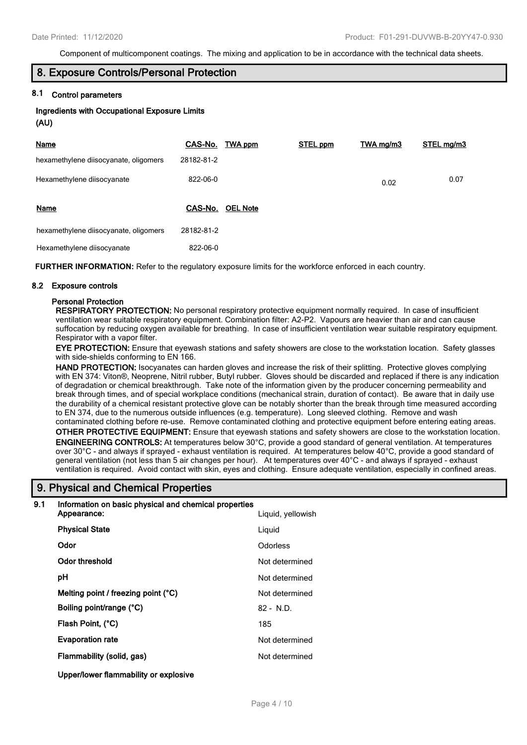Component of multicomponent coatings. The mixing and application to be in accordance with the technical data sheets.

# **8. Exposure Controls/Personal Protection**

## **8.1 Control parameters**

#### **Ingredients with Occupational Exposure Limits**

#### **(AU)**

| Name                                  | CAS-No.    | TWA ppm         | <b>STEL ppm</b> | TWA mg/m3 | STEL mg/m3 |
|---------------------------------------|------------|-----------------|-----------------|-----------|------------|
| hexamethylene diisocyanate, oligomers | 28182-81-2 |                 |                 |           |            |
| Hexamethylene diisocyanate            | 822-06-0   |                 |                 | 0.02      | 0.07       |
| Name                                  | CAS-No.    | <b>OEL Note</b> |                 |           |            |
| hexamethylene diisocyanate, oligomers | 28182-81-2 |                 |                 |           |            |
| Hexamethylene diisocyanate            | 822-06-0   |                 |                 |           |            |

**FURTHER INFORMATION:** Refer to the regulatory exposure limits for the workforce enforced in each country.

## **8.2 Exposure controls**

#### **Personal Protection**

**RESPIRATORY PROTECTION:** No personal respiratory protective equipment normally required. In case of insufficient ventilation wear suitable respiratory equipment. Combination filter: A2-P2. Vapours are heavier than air and can cause suffocation by reducing oxygen available for breathing. In case of insufficient ventilation wear suitable respiratory equipment. Respirator with a vapor filter.

**EYE PROTECTION:** Ensure that eyewash stations and safety showers are close to the workstation location. Safety glasses with side-shields conforming to EN 166.

**HAND PROTECTION:** Isocyanates can harden gloves and increase the risk of their splitting. Protective gloves complying with EN 374: Viton®, Neoprene, Nitril rubber, Butyl rubber. Gloves should be discarded and replaced if there is any indication of degradation or chemical breakthrough. Take note of the information given by the producer concerning permeability and break through times, and of special workplace conditions (mechanical strain, duration of contact). Be aware that in daily use the durability of a chemical resistant protective glove can be notably shorter than the break through time measured according to EN 374, due to the numerous outside influences (e.g. temperature). Long sleeved clothing. Remove and wash contaminated clothing before re-use. Remove contaminated clothing and protective equipment before entering eating areas. **OTHER PROTECTIVE EQUIPMENT:** Ensure that eyewash stations and safety showers are close to the workstation location. **ENGINEERING CONTROLS:** At temperatures below 30°C, provide a good standard of general ventilation. At temperatures over 30°C - and always if sprayed - exhaust ventilation is required. At temperatures below 40°C, provide a good standard of general ventilation (not less than 5 air changes per hour). At temperatures over 40°C - and always if sprayed - exhaust ventilation is required. Avoid contact with skin, eyes and clothing. Ensure adequate ventilation, especially in confined areas.

# **9. Physical and Chemical Properties**

# **9.1 Information on basic physical and chemical properties Appearance:** Liquid, yellowish **Physical State** Liquid **Odor** Odorless **Odor threshold** Not determined **pH** Not determined **Melting point / freezing point (°C)** Not determined **Boiling point/range (°C)** 82 - N.D. **Flash Point, (°C)** 185 **Evaporation rate** Not determined **Flammability (solid, gas)** Not determined

**Upper/lower flammability or explosive**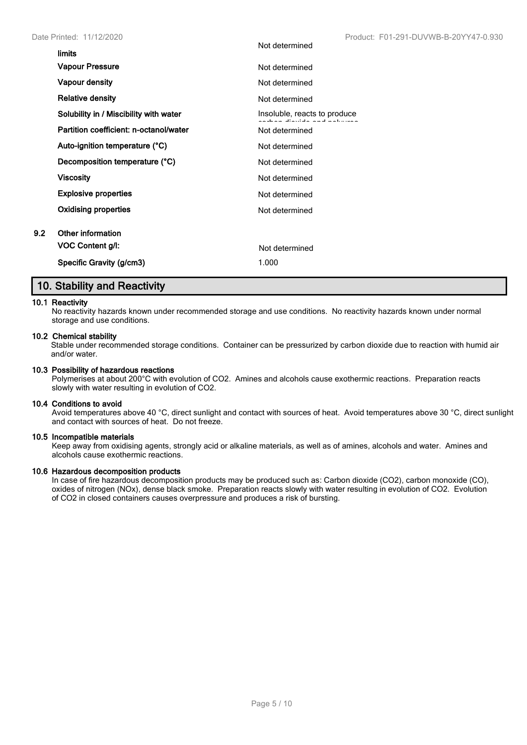|                                        | Not determined               |
|----------------------------------------|------------------------------|
|                                        |                              |
| <b>Vapour Pressure</b>                 | Not determined               |
| Vapour density                         | Not determined               |
| <b>Relative density</b>                | Not determined               |
| Solubility in / Miscibility with water | Insoluble, reacts to produce |
| Partition coefficient: n-octanol/water | Not determined               |
| Auto-ignition temperature (°C)         | Not determined               |
| Decomposition temperature (°C)         | Not determined               |
| <b>Viscosity</b>                       | Not determined               |
| <b>Explosive properties</b>            | Not determined               |
| <b>Oxidising properties</b>            | Not determined               |
| <b>Other information</b>               |                              |
| VOC Content g/l:                       | Not determined               |
| Specific Gravity (g/cm3)               | 1.000                        |
|                                        | limits                       |

# **10. Stability and Reactivity**

#### **10.1 Reactivity**

**9.2 Other information**

No reactivity hazards known under recommended storage and use conditions. No reactivity hazards known under normal storage and use conditions.

#### **10.2 Chemical stability**

Stable under recommended storage conditions. Container can be pressurized by carbon dioxide due to reaction with humid air and/or water.

#### **10.3 Possibility of hazardous reactions**

Polymerises at about 200°C with evolution of CO2. Amines and alcohols cause exothermic reactions. Preparation reacts slowly with water resulting in evolution of CO2.

#### **10.4 Conditions to avoid**

Avoid temperatures above 40 °C, direct sunlight and contact with sources of heat. Avoid temperatures above 30 °C, direct sunlight and contact with sources of heat. Do not freeze.

### **10.5 Incompatible materials**

Keep away from oxidising agents, strongly acid or alkaline materials, as well as of amines, alcohols and water. Amines and alcohols cause exothermic reactions.

## **10.6 Hazardous decomposition products**

In case of fire hazardous decomposition products may be produced such as: Carbon dioxide (CO2), carbon monoxide (CO), oxides of nitrogen (NOx), dense black smoke. Preparation reacts slowly with water resulting in evolution of CO2. Evolution of CO2 in closed containers causes overpressure and produces a risk of bursting.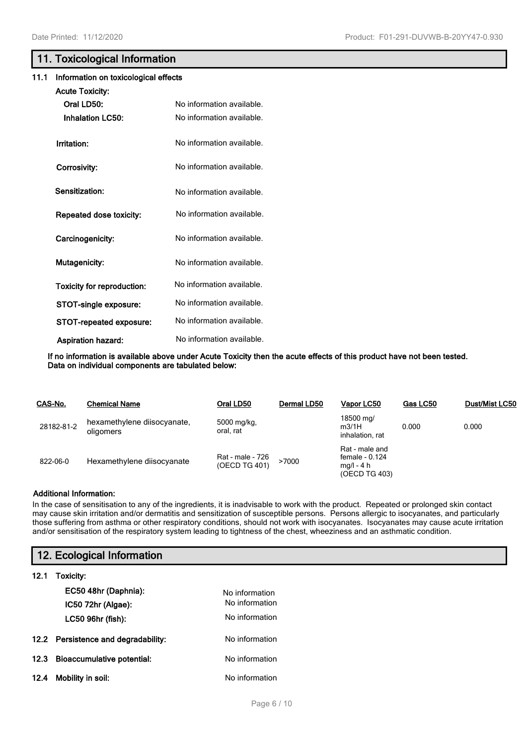# **11. Toxicological Information**

## **11.1 Information on toxicological effects**

| <b>Acute Toxicity:</b>            |                           |
|-----------------------------------|---------------------------|
| Oral LD50:                        | No information available. |
| <b>Inhalation LC50:</b>           | No information available. |
| Irritation:                       | No information available. |
| Corrosivity:                      | No information available. |
| <b>Sensitization:</b>             | No information available. |
| Repeated dose toxicity:           | No information available. |
| Carcinogenicity:                  | No information available. |
| <b>Mutagenicity:</b>              | No information available. |
| <b>Toxicity for reproduction:</b> | No information available. |
| STOT-single exposure:             | No information available. |
| <b>STOT-repeated exposure:</b>    | No information available. |
| <b>Aspiration hazard:</b>         | No information available. |

**If no information is available above under Acute Toxicity then the acute effects of this product have not been tested. Data on individual components are tabulated below:**

| CAS-No.    | <b>Chemical Name</b>                     | Oral LD50                         | Dermal LD50 | Vapor LC50                                                        | Gas LC50 | <b>Dust/Mist LC50</b> |
|------------|------------------------------------------|-----------------------------------|-------------|-------------------------------------------------------------------|----------|-----------------------|
| 28182-81-2 | hexamethylene diisocyanate,<br>oligomers | 5000 mg/kg,<br>oral, rat          |             | 18500 mg/<br>m3/1H<br>inhalation, rat                             | 0.000    | 0.000                 |
| 822-06-0   | Hexamethylene diisocyanate               | Rat - male - 726<br>(OECD TG 401) | >7000       | Rat - male and<br>female - 0.124<br>$mq/l - 4 h$<br>(OECD TG 403) |          |                       |

### **Additional Information:**

In the case of sensitisation to any of the ingredients, it is inadvisable to work with the product. Repeated or prolonged skin contact may cause skin irritation and/or dermatitis and sensitization of susceptible persons. Persons allergic to isocyanates, and particularly those suffering from asthma or other respiratory conditions, should not work with isocyanates. Isocyanates may cause acute irritation and/or sensitisation of the respiratory system leading to tightness of the chest, wheeziness and an asthmatic condition.

|                   | 12. Ecological Information          |                |  |  |
|-------------------|-------------------------------------|----------------|--|--|
| 12.1<br>Toxicity: |                                     |                |  |  |
|                   | EC50 48hr (Daphnia):                | No information |  |  |
|                   | IC50 72hr (Algae):                  | No information |  |  |
|                   | LC50 96hr (fish):                   | No information |  |  |
|                   | 12.2 Persistence and degradability: | No information |  |  |
| 12.3              | <b>Bioaccumulative potential:</b>   | No information |  |  |
| 12.4              | <b>Mobility in soil:</b>            | No information |  |  |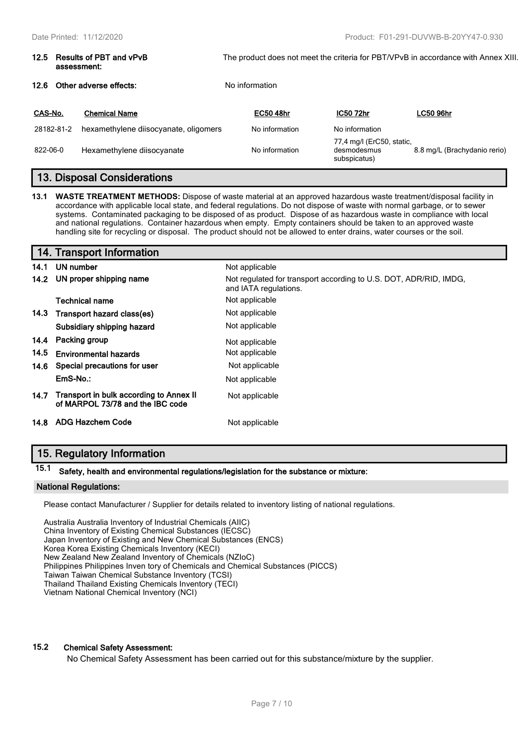| 12.5 Results of PBT and vPvB<br>assessment: | The product does not meet the criteria for PBT/VPvB in accordance with Annex XIII. |
|---------------------------------------------|------------------------------------------------------------------------------------|
| 12.6 Other adverse effects:                 | No information                                                                     |

| CAS-No.    | <b>Chemical Name</b>                  | <b>EC50 48hr</b> | <b>IC50 72hr</b>                                         | <b>LC50 96hr</b>             |
|------------|---------------------------------------|------------------|----------------------------------------------------------|------------------------------|
| 28182-81-2 | hexamethylene diisocyanate, oligomers | No information   | No information                                           |                              |
| 822-06-0   | Hexamethylene diisocyanate            | No information   | 77,4 mg/l (ErC50, static,<br>desmodesmus<br>subspicatus) | 8.8 mg/L (Brachydanio rerio) |

# **13. Disposal Considerations**

**13.1 WASTE TREATMENT METHODS:** Dispose of waste material at an approved hazardous waste treatment/disposal facility in accordance with applicable local state, and federal regulations. Do not dispose of waste with normal garbage, or to sewer systems. Contaminated packaging to be disposed of as product. Dispose of as hazardous waste in compliance with local and national regulations. Container hazardous when empty. Empty containers should be taken to an approved waste handling site for recycling or disposal. The product should not be allowed to enter drains, water courses or the soil.

|      | 14. Transport Information                                                   |                                                                                            |
|------|-----------------------------------------------------------------------------|--------------------------------------------------------------------------------------------|
| 14.1 | UN number                                                                   | Not applicable                                                                             |
|      | 14.2 UN proper shipping name                                                | Not regulated for transport according to U.S. DOT, ADR/RID, IMDG,<br>and IATA regulations. |
|      | Technical name                                                              | Not applicable                                                                             |
|      | 14.3 Transport hazard class(es)                                             | Not applicable                                                                             |
|      | Subsidiary shipping hazard                                                  | Not applicable                                                                             |
|      | 14.4 Packing group                                                          | Not applicable                                                                             |
| 14.5 | <b>Environmental hazards</b>                                                | Not applicable                                                                             |
| 14.6 | Special precautions for user                                                | Not applicable                                                                             |
|      | EmS-No.:                                                                    | Not applicable                                                                             |
| 14.7 | Transport in bulk according to Annex II<br>of MARPOL 73/78 and the IBC code | Not applicable                                                                             |
|      | 14.8 ADG Hazchem Code                                                       | Not applicable                                                                             |

# **15. Regulatory Information**

# **15.1 Safety, health and environmental regulations/legislation for the substance or mixture:**

## **National Regulations:**

Please contact Manufacturer / Supplier for details related to inventory listing of national regulations.

Australia Australia Inventory of Industrial Chemicals (AIIC) China Inventory of Existing Chemical Substances (IECSC) Japan Inventory of Existing and New Chemical Substances (ENCS) Korea Korea Existing Chemicals Inventory (KECI) New Zealand New Zealand Inventory of Chemicals (NZIoC) Philippines Philippines Inven tory of Chemicals and Chemical Substances (PICCS) Taiwan Taiwan Chemical Substance Inventory (TCSI) Thailand Thailand Existing Chemicals Inventory (TECI) Vietnam National Chemical Inventory (NCI)

## **15.2 Chemical Safety Assessment:**

No Chemical Safety Assessment has been carried out for this substance/mixture by the supplier.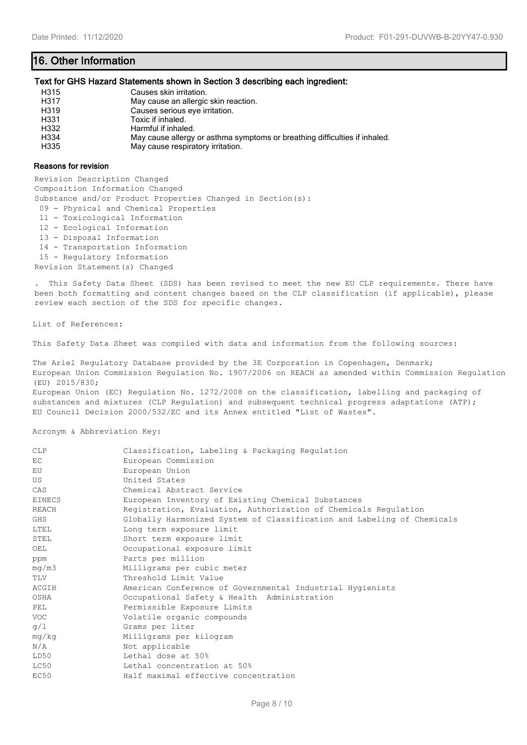# **16. Other Information**

## **Text for GHS Hazard Statements shown in Section 3 describing each ingredient:**

| H315 | Causes skin irritation.                                                    |
|------|----------------------------------------------------------------------------|
| H317 | May cause an allergic skin reaction.                                       |
| H319 | Causes serious eye irritation.                                             |
| H331 | Toxic if inhaled.                                                          |
| H332 | Harmful if inhaled.                                                        |
| H334 | May cause allergy or asthma symptoms or breathing difficulties if inhaled. |
| H335 | May cause respiratory irritation.                                          |

#### **Reasons for revision**

Revision Description Changed Composition Information Changed Substance and/or Product Properties Changed in Section(s): 09 - Physical and Chemical Properties 11 - Toxicological Information 12 - Ecological Information 13 - Disposal Information 14 - Transportation Information 15 - Regulatory Information

Revision Statement(s) Changed

. This Safety Data Sheet (SDS) has been revised to meet the new EU CLP requirements. There have been both formatting and content changes based on the CLP classification (if applicable), please review each section of the SDS for specific changes.

List of References:

This Safety Data Sheet was compiled with data and information from the following sources:

EU Council Decision 2000/532/EC and its Annex entitled "List of Wastes".

The Ariel Regulatory Database provided by the 3E Corporation in Copenhagen, Denmark; European Union Commission Regulation No. 1907/2006 on REACH as amended within Commission Regulation (EU) 2015/830; European Union (EC) Regulation No. 1272/2008 on the classification, labelling and packaging of substances and mixtures (CLP Requlation) and subsequent technical progress adaptations (ATP);

Acronym & Abbreviation Key:

| Classification, Labeling & Packaging Regulation                        |
|------------------------------------------------------------------------|
| European Commission                                                    |
| European Union                                                         |
| United States                                                          |
| Chemical Abstract Service                                              |
| European Inventory of Existing Chemical Substances                     |
| Registration, Evaluation, Authorization of Chemicals Regulation        |
| Globally Harmonized System of Classification and Labeling of Chemicals |
| Long term exposure limit                                               |
| Short term exposure limit                                              |
| Occupational exposure limit                                            |
| Parts per million                                                      |
| Milligrams per cubic meter                                             |
| Threshold Limit Value                                                  |
| American Conference of Governmental Industrial Hygienists              |
| Occupational Safety & Health Administration                            |
| Permissible Exposure Limits                                            |
| Volatile organic compounds                                             |
| Grams per liter                                                        |
| Milligrams per kilogram                                                |
| Not applicable                                                         |
| Lethal dose at 50%                                                     |
| Lethal concentration at 50%                                            |
| Half maximal effective concentration                                   |
|                                                                        |